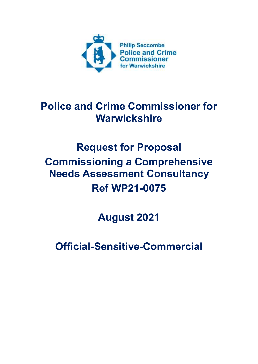

# **Police and Crime Commissioner for Warwickshire**

# **Request for Proposal Commissioning a Comprehensive Needs Assessment Consultancy Ref WP21-0075**

**August 2021**

**Official-Sensitive-Commercial**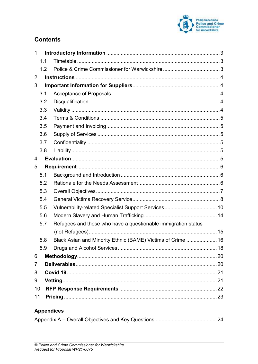

# **Contents**

| 1              |                   |                                                               |  |  |  |
|----------------|-------------------|---------------------------------------------------------------|--|--|--|
|                | 1.1               |                                                               |  |  |  |
|                | 1.2               |                                                               |  |  |  |
| 2              |                   |                                                               |  |  |  |
| 3              |                   |                                                               |  |  |  |
|                | 3.1               |                                                               |  |  |  |
|                | 3.2               |                                                               |  |  |  |
|                | 3.3               |                                                               |  |  |  |
|                | 3.4               |                                                               |  |  |  |
|                | 3.5               |                                                               |  |  |  |
|                | 3.6               |                                                               |  |  |  |
|                | 3.7               |                                                               |  |  |  |
|                | 3.8               |                                                               |  |  |  |
| 4              |                   |                                                               |  |  |  |
| 5              |                   |                                                               |  |  |  |
|                | 5.1               |                                                               |  |  |  |
|                | 5.2               |                                                               |  |  |  |
|                | 5.3               |                                                               |  |  |  |
|                | 5.4               |                                                               |  |  |  |
|                | 5.5               |                                                               |  |  |  |
|                | 5.6               |                                                               |  |  |  |
|                | 5.7               | Refugees and those who have a questionable immigration status |  |  |  |
|                |                   |                                                               |  |  |  |
|                | 5.8               | Black Asian and Minority Ethnic (BAME) Victims of Crime  16   |  |  |  |
|                | 5.9               |                                                               |  |  |  |
| 6              |                   |                                                               |  |  |  |
| $\overline{7}$ |                   |                                                               |  |  |  |
| 8              |                   |                                                               |  |  |  |
| 9              |                   |                                                               |  |  |  |
| 10             |                   |                                                               |  |  |  |
| 11             |                   |                                                               |  |  |  |
|                | <b>Appendices</b> |                                                               |  |  |  |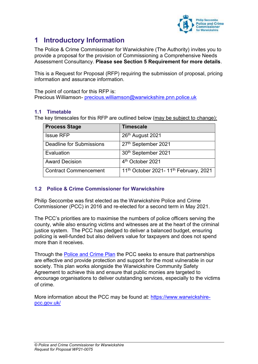

# <span id="page-2-0"></span>**1 Introductory Information**

The Police & Crime Commissioner for Warwickshire (The Authority) invites you to provide a proposal for the provision of Commissioning a Comprehensive Needs Assessment Consultancy. **Please see Section 5 Requirement for more details**.

This is a Request for Proposal (RFP) requiring the submission of proposal, pricing information and assurance information.

The point of contact for this RFP is: Precious Williamson- [precious.williamson@warwickshire.pnn.police.uk](mailto:precious.williamson@warwickshire.pnn.police.uk)

# <span id="page-2-1"></span>**1.1 Timetable**

The key timescales for this RFP are outlined below (may be subject to change):

| <b>Process Stage</b>            | <b>Timescale</b>                                              |
|---------------------------------|---------------------------------------------------------------|
| <b>Issue RFP</b>                | 26 <sup>th</sup> August 2021                                  |
| <b>Deadline for Submissions</b> | 27th September 2021                                           |
| Evaluation                      | 30th September 2021                                           |
| <b>Award Decision</b>           | 4 <sup>th</sup> October 2021                                  |
| <b>Contract Commencement</b>    | 11 <sup>th</sup> October 2021-11 <sup>th</sup> February, 2021 |

# <span id="page-2-2"></span>**1.2 Police & Crime Commissioner for Warwickshire**

Philip Seccombe was first elected as the Warwickshire Police and Crime Commissioner (PCC) in 2016 and re-elected for a second term in May 2021.

The PCC's priorities are to maximise the numbers of police officers serving the county, while also ensuring victims and witnesses are at the heart of the criminal justice system. The PCC has pledged to deliver a balanced budget, ensuring policing is well-funded but also delivers value for taxpayers and does not spend more than it receives.

Through the [Police and Crime Plan](https://www.warwickshire-pcc.gov.uk/police-and-crime-plan/) the PCC seeks to ensure that partnerships are effective and provide protection and support for the most vulnerable in our society. This plan works alongside the Warwickshire Community Safety Agreement to achieve this and ensure that public monies are targeted to encourage organisations to deliver outstanding services, especially to the victims of crime.

More information about the PCC may be found at: [https://www.warwickshire](https://www.warwickshire-pcc.gov.uk/)[pcc.gov.uk/](https://www.warwickshire-pcc.gov.uk/)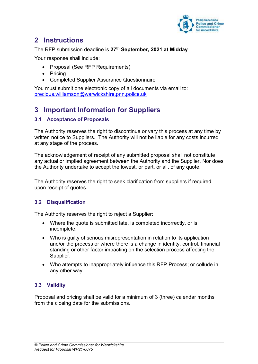

# <span id="page-3-0"></span>**2 Instructions**

### The RFP submission deadline is **27 th September, 2021 at Midday**

Your response shall include:

- Proposal (See RFP Requirements)
- Pricing
- Completed Supplier Assurance Questionnaire

You must submit one electronic copy of all documents via email to: [precious.williamson@warwickshire.pnn.police.uk](mailto:precious.williamson@warwickshire.pnn.police.uk)

# <span id="page-3-1"></span>**3 Important Information for Suppliers**

# <span id="page-3-2"></span>**3.1 Acceptance of Proposals**

The Authority reserves the right to discontinue or vary this process at any time by written notice to Suppliers. The Authority will not be liable for any costs incurred at any stage of the process.

The acknowledgement of receipt of any submitted proposal shall not constitute any actual or implied agreement between the Authority and the Supplier. Nor does the Authority undertake to accept the lowest, or part, or all, of any quote.

The Authority reserves the right to seek clarification from suppliers if required, upon receipt of quotes.

# <span id="page-3-3"></span>**3.2 Disqualification**

The Authority reserves the right to reject a Supplier:

- Where the quote is submitted late, is completed incorrectly, or is incomplete.
- Who is guilty of serious misrepresentation in relation to its application and/or the process or where there is a change in identity, control, financial standing or other factor impacting on the selection process affecting the Supplier.
- Who attempts to inappropriately influence this RFP Process; or collude in any other way.

# <span id="page-3-4"></span>**3.3 Validity**

Proposal and pricing shall be valid for a minimum of 3 (three) calendar months from the closing date for the submissions.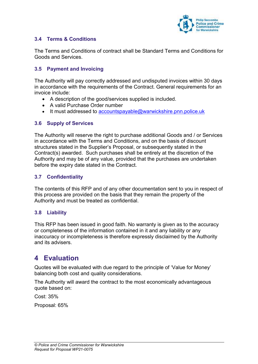

# <span id="page-4-0"></span>**3.4 Terms & Conditions**

The Terms and Conditions of contract shall be Standard Terms and Conditions for Goods and Services.

### <span id="page-4-1"></span>**3.5 Payment and Invoicing**

The Authority will pay correctly addressed and undisputed invoices within 30 days in accordance with the requirements of the Contract. General requirements for an invoice include:

- A description of the good/services supplied is included.
- A valid Purchase Order number
- It must addressed to [accountspayable@warwickshire.pnn.police.uk](mailto:accountspayable@warwickshire.pnn.police.uk)

#### <span id="page-4-2"></span>**3.6 Supply of Services**

The Authority will reserve the right to purchase additional Goods and / or Services in accordance with the Terms and Conditions, and on the basis of discount structures stated in the Supplier's Proposal, or subsequently stated in the Contract(s) awarded. Such purchases shall be entirely at the discretion of the Authority and may be of any value, provided that the purchases are undertaken before the expiry date stated in the Contract.

# <span id="page-4-3"></span>**3.7 Confidentiality**

The contents of this RFP and of any other documentation sent to you in respect of this process are provided on the basis that they remain the property of the Authority and must be treated as confidential.

#### <span id="page-4-4"></span>**3.8 Liability**

This RFP has been issued in good faith. No warranty is given as to the accuracy or completeness of the information contained in it and any liability or any inaccuracy or incompleteness is therefore expressly disclaimed by the Authority and its advisers.

# <span id="page-4-5"></span>**4 Evaluation**

Quotes will be evaluated with due regard to the principle of 'Value for Money' balancing both cost and quality considerations.

The Authority will award the contract to the most economically advantageous quote based on:

Cost: 35%

Proposal: 65%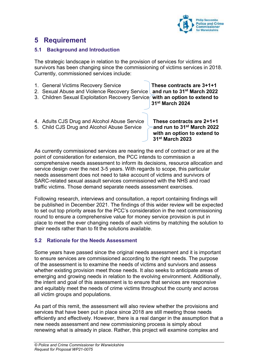

# <span id="page-5-0"></span>**5 Requirement**

# <span id="page-5-1"></span>**5.1 Background and Introduction**

The strategic landscape in relation to the provision of services for victims and survivors has been changing since the commissioning of victims services in 2018. Currently, commissioned services include:

- 1. General Victims Recovery Service **These contracts are 3+1+1** 2. Sexual Abuse and Violence Recovery Service **and run to 31st March 2022** 3. Children Sexual Exploitation Recovery Service **with an option to extend to 31st March 2024**
- 4. Adults CJS Drug and Alcohol Abuse Service **These contracts are 2+1+1**
- 5. Child CJS Drug and Alcohol Abuse Service **and run to 31st March 2022**

**with an option to extend to 31st March 2023** 

As currently commissioned services are nearing the end of contract or are at the point of consideration for extension, the PCC intends to commission a comprehensive needs assessment to inform its decisions, resource allocation and service design over the next 3-5 years. With regards to scope, this particular needs assessment does not need to take account of victims and survivors of SARC-related sexual assault services commissioned with the NHS and road traffic victims. Those demand separate needs assessment exercises.

Following research, interviews and consultation, a report containing findings will be published in December 2021. The findings of this wider review will be expected to set out top priority areas for the PCC's consideration in the next commissioning round to ensure a comprehensive value for money service provision is put in place to meet the ever changing needs of each victims by matching the solution to their needs rather than to fit the solutions available.

# <span id="page-5-2"></span>**5.2 Rationale for the Needs Assessment**

Some years have passed since the original needs assessment and it is important to ensure services are commissioned according to the right needs. The purpose of the assessment is to examine the needs of victims and survivors and assess whether existing provision meet those needs. It also seeks to anticipate areas of emerging and growing needs in relation to the evolving environment. Additionally, the intent and goal of this assessment is to ensure that services are responsive and equitably meet the needs of crime victims throughout the county and across all victim groups and populations.

As part of this remit, the assessment will also review whether the provisions and services that have been put in place since 2018 are still meeting those needs efficiently and effectively. However, there is a real danger in the assumption that a new needs assessment and new commissioning process is simply about renewing what is already in place. Rather, this project will examine complex and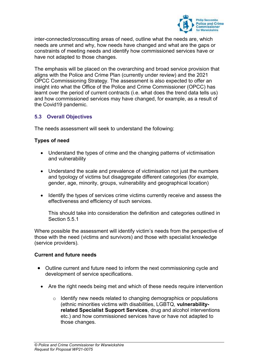

inter-connected/crosscutting areas of need, outline what the needs are, which needs are unmet and why, how needs have changed and what are the gaps or constraints of meeting needs and identify how commissioned services have or have not adapted to those changes.

The emphasis will be placed on the overarching and broad service provision that aligns with the Police and Crime Plan (currently under review) and the 2021 OPCC Commissioning Strategy. The assessment is also expected to offer an insight into what the Office of the Police and Crime Commissioner (OPCC) has learnt over the period of current contracts (i.e. what does the trend data tells us) and how commissioned services may have changed, for example, as a result of the Covid19 pandemic.

# <span id="page-6-0"></span>**5.3 Overall Objectives**

The needs assessment will seek to understand the following:

#### **Types of need**

- Understand the types of crime and the changing patterns of victimisation and vulnerability
- Understand the scale and prevalence of victimisation not just the numbers and typology of victims but disaggregate different categories (for example, gender, age, minority, groups, vulnerability and geographical location)
- Identify the types of services crime victims currently receive and assess the effectiveness and efficiency of such services.

This should take into consideration the definition and categories outlined in Section 5.5.1

Where possible the assessment will identify victim's needs from the perspective of those with the need (victims and survivors) and those with specialist knowledge (service providers).

#### **Current and future needs**

- Outline current and future need to inform the next commissioning cycle and development of service specifications.
	- Are the right needs being met and which of these needs require intervention
		- $\circ$  Identify new needs related to changing demographics or populations (ethnic minorities victims with disabilities, LGBTQ, **vulnerabilityrelated Specialist Support Services**, drug and alcohol interventions etc.) and how commissioned services have or have not adapted to those changes.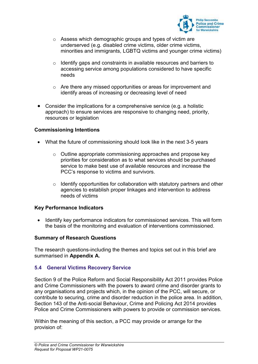

- o Assess which demographic groups and types of victim are underserved (e.g. disabled crime victims, older crime victims, minorities and immigrants, LGBTQ victims and younger crime victims)
- o Identify gaps and constraints in available resources and barriers to accessing service among populations considered to have specific needs
- o Are there any missed opportunities or areas for improvement and identify areas of increasing or decreasing level of need
- Consider the implications for a comprehensive service (e.g. a holistic approach) to ensure services are responsive to changing need, priority, resources or legislation

#### **Commissioning Intentions**

- What the future of commissioning should look like in the next 3-5 years
	- o Outline appropriate commissioning approaches and propose key priorities for consideration as to what services should be purchased service to make best use of available resources and increase the PCC's response to victims and survivors.
	- $\circ$  Identify opportunities for collaboration with statutory partners and other agencies to establish proper linkages and intervention to address needs of victims

#### **Key Performance Indicators**

• Identify key performance indicators for commissioned services. This will form the basis of the monitoring and evaluation of interventions commissioned.

#### **Summary of Research Questions**

The research questions-including the themes and topics set out in this brief are summarised in **Appendix A.**

# <span id="page-7-0"></span>**5.4 General Victims Recovery Service**

Section 9 of the Police Reform and Social Responsibility Act 2011 provides Police and Crime Commissioners with the powers to award crime and disorder grants to any organisations and projects which, in the opinion of the PCC, will secure, or contribute to securing, crime and disorder reduction in the police area. In addition, Section 143 of the Anti-social Behaviour, Crime and Policing Act 2014 provides Police and Crime Commissioners with powers to provide or commission services.

Within the meaning of this section, a PCC may provide or arrange for the provision of: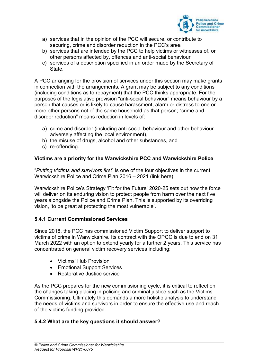

- a) services that in the opinion of the PCC will secure, or contribute to securing, crime and disorder reduction in the PCC's area
- b) services that are intended by the PCC to help victims or witnesses of, or other persons affected by, offences and anti-social behaviour
- c) services of a description specified in an order made by the Secretary of State.

A PCC arranging for the provision of services under this section may make grants in connection with the arrangements. A grant may be subject to any conditions (including conditions as to repayment) that the PCC thinks appropriate. For the purposes of the legislative provision "anti-social behaviour" means behaviour by a person that causes or is likely to cause harassment, alarm or distress to one or more other persons not of the same household as that person; "crime and disorder reduction" means reduction in levels of:

- a) crime and disorder (including anti-social behaviour and other behaviour adversely affecting the local environment),
- b) the misuse of drugs, alcohol and other substances, and
- c) re-offending.

# **Victims are a priority for the Warwickshire PCC and Warwickshire Police**

"*Putting victims and survivors first*" is one of the four objectives in the current Warwickshire Police and Crime Plan 2016 – 2021 (link here).

Warwickshire Police's Strategy 'Fit for the Future' 2020-25 sets out how the force will deliver on its enduring vision to protect people from harm over the next five years alongside the Police and Crime Plan. This is supported by its overriding vision, 'to be great at protecting the most vulnerable'.

# **5.4.1 Current Commissioned Services**

Since 2018, the PCC has commissioned Victim Support to deliver support to victims of crime in Warwickshire. Its contract with the OPCC is due to end on 31 March 2022 with an option to extend yearly for a further 2 years. This service has concentrated on general victim recovery services including:

- Victims' Hub Provision
- Emotional Support Services
- Restorative Justice service

As the PCC prepares for the new commissioning cycle, it is critical to reflect on the changes taking placing in policing and criminal justice such as the Victims Commissioning. Ultimately this demands a more holistic analysis to understand the needs of victims and survivors in order to ensure the effective use and reach of the victims funding provided.

# **5.4.2 What are the key questions it should answer?**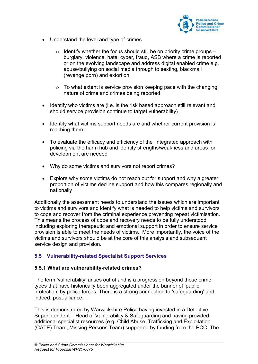

- Understand the level and type of crimes
	- $\circ$  Identify whether the focus should still be on priority crime groups burglary, violence, hate, cyber, fraud, ASB where a crime is reported or on the evolving landscape and address digital enabled crime e.g. abuse/bullying on social media through to sexting, blackmail (revenge porn) and extortion
	- $\circ$  To what extent is service provision keeping pace with the changing nature of crime and crimes being reported
- Identify who victims are (i.e. is the risk based approach still relevant and should service provision continue to target vulnerability)
- Identify what victims support needs are and whether current provision is reaching them;
- To evaluate the efficacy and efficiency of the integrated approach with policing via the harm hub and identify strengths/weakness and areas for development are needed
- Why do some victims and survivors not report crimes?
- Explore why some victims do not reach out for support and why a greater proportion of victims decline support and how this compares regionally and nationally

Additionally the assessment needs to understand the issues which are important to victims and survivors and identify what is needed to help victims and survivors to cope and recover from the criminal experience preventing repeat victimisation. This means the process of cope and recovery needs to be fully understood including exploring therapeutic and emotional support in order to ensure service provision is able to meet the needs of victims. More importantly, the voice of the victims and survivors should be at the core of this analysis and subsequent service design and provision.

# <span id="page-9-0"></span>**5.5 Vulnerability-related Specialist Support Services**

#### **5.5.1 What are vulnerability-related crimes?**

The term 'vulnerability' arises out of and is a progression beyond those crime types that have historically been aggregated under the banner of 'public protection' by police forces. There is a strong connection to 'safeguarding' and indeed, post-alliance.

This is demonstrated by Warwickshire Police having invested in a Detective Superintendent – Head of Vulnerability & Safeguarding and having provided additional specialist resources (e.g. Child Abuse, Trafficking and Exploitation (CATE) Team, Missing Persons Team) supported by funding from the PCC. The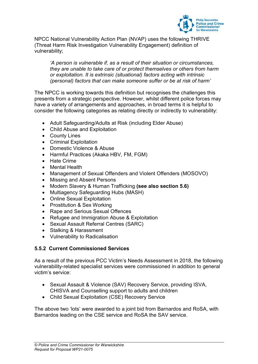

NPCC National Vulnerability Action Plan (NVAP) uses the following THRIVE (Threat Harm Risk Investigation Vulnerability Engagement) definition of vulnerability;

*'A person is vulnerable if, as a result of their situation or circumstances, they are unable to take care of or protect themselves or others from harm or exploitation. It is extrinsic (situational) factors acting with intrinsic (personal) factors that can make someone suffer or be at risk of harm'*

The NPCC is working towards this definition but recognises the challenges this presents from a strategic perspective. However, whilst different police forces may have a variety of arrangements and approaches, in broad terms it is helpful to consider the following categories as relating directly or indirectly to vulnerability:

- Adult Safeguarding/Adults at Risk (including Elder Abuse)
- Child Abuse and Exploitation
- County Lines
- Criminal Exploitation
- Domestic Violence & Abuse
- Harmful Practices (Akaka HBV, FM, FGM)
- Hate Crime
- Mental Health
- Management of Sexual Offenders and Violent Offenders (MOSOVO)
- Missing and Absent Persons
- Modern Slavery & Human Trafficking **(see also section 5.6)**
- Multiagency Safeguarding Hubs (MASH)
- Online Sexual Exploitation
- Prostitution & Sex Working
- Rape and Serious Sexual Offences
- Refugee and Immigration Abuse & Exploitation
- Sexual Assault Referral Centres (SARC)
- Stalking & Harassment
- Vulnerability to Radicalisation

#### **5.5.2 Current Commissioned Services**

As a result of the previous PCC Victim's Needs Assessment in 2018, the following vulnerability-related specialist services were commissioned in addition to general victim's service:

- Sexual Assault & Violence (SAV) Recovery Service, providing ISVA, CHISVA and Counselling support to adults and children
- Child Sexual Exploitation (CSE) Recovery Service

The above two 'lots' were awarded to a joint bid from Barnardos and RoSA, with Barnardos leading on the CSE service and RoSA the SAV service.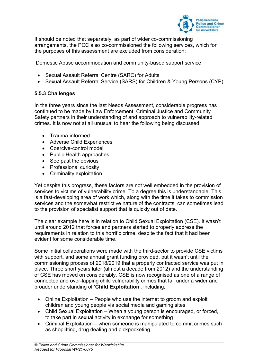

It should be noted that separately, as part of wider co-commissioning arrangements, the PCC also co-commissioned the following services, which for the purposes of this assessment are excluded from consideration;

Domestic Abuse accommodation and community-based support service

- Sexual Assault Referral Centre (SARC) for Adults
- Sexual Assault Referral Service (SARS) for Children & Young Persons (CYP)

# **5.5.3 Challenges**

In the three years since the last Needs Assessment, considerable progress has continued to be made by Law Enforcement, Criminal Justice and Community Safety partners in their understanding of and approach to vulnerability-related crimes. It is now not at all unusual to hear the following being discussed:

- Trauma-informed
- Adverse Child Experiences
- Coercive-control model
- Public Health approaches
- See past the obvious
- Professional curiosity
- Criminality exploitation

Yet despite this progress, these factors are not well embedded in the provision of services to victims of vulnerability crime. To a degree this is understandable. This is a fast-developing area of work which, along with the time it takes to commission services and the somewhat restrictive nature of the contracts, can sometimes lead to the provision of specialist support that is quickly out of date.

The clear example here is in relation to Child Sexual Exploitation (CSE). It wasn't until around 2012 that forces and partners started to properly address the requirements in relation to this horrific crime, despite the fact that it had been evident for some considerable time.

Some initial collaborations were made with the third-sector to provide CSE victims with support, and some annual grant funding provided, but it wasn't until the commissioning process of 2018/2019 that a properly contracted service was put in place. Three short years later (almost a decade from 2012) and the understanding of CSE has moved on considerably. CSE is now recognised as one of a range of connected and over-lapping child vulnerability crimes that fall under a wider and broader understanding of '**Child Exploitation**', including;

- Online Exploitation People who use the internet to groom and exploit children and young people via social media and gaming sites
- Child Sexual Exploitation When a young person is encouraged, or forced, to take part in sexual activity in exchange for something
- Criminal Exploitation when someone is manipulated to commit crimes such as shoplifting, drug dealing and pickpocketing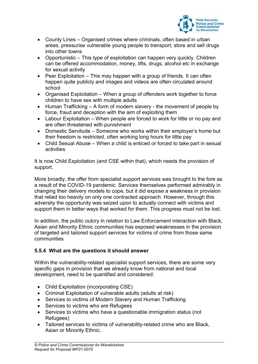

- County Lines Organised crimes where criminals, often based in urban areas, pressurise vulnerable young people to transport, store and sell drugs into other towns
- Opportunistic This type of exploitation can happen very quickly. Children can be offered accommodation, money, lifts, drugs, alcohol etc in exchange for sexual activity
- Peer Exploitation This may happen with a group of friends. It can often happen quite publicly and images and videos are often circulated around school
- Organised Exploitation When a group of offenders work together to force children to have sex with multiple adults
- $\bullet$  Human Trafficking A form of modern slavery the movement of people by force, fraud and deception with the aim of exploiting them
- Labour Exploitation When people are forced to work for little or no pay and are often threatened with punishment
- Domestic Servitude Someone who works within their employer's home but their freedom is restricted, often working long hours for little pay
- Child Sexual Abuse When a child is enticed or forced to take part in sexual activities

It is now Child Exploitation (and CSE within that), which needs the provision of support.

More broadly, the offer from specialist support services was brought to the fore as a result of the COVID-19 pandemic. Services themselves performed admirably in changing their delivery models to cope, but it did expose a weakness in provision that relied too heavily on only one contracted approach. However, through this adversity the opportunity was seized upon to actually connect with victims and support them in better ways that worked for them. This progress must not be lost.

In addition, the public outcry in relation to Law Enforcement interaction with Black, Asian and Minority Ethnic communities has exposed weaknesses in the provision of targeted and tailored support services for victims of crime from those same communities

# **5.5.4 What are the questions it should answer**

Within the vulnerability-related specialist support services, there are some very specific gaps in provision that we already know from national and local development, need to be quantified and considered:

- Child Exploitation (incorporating CSE)
- Criminal Exploitation of vulnerable adults (adults at risk)
- Services to victims of Modern Slavery and Human Trafficking
- Services to victims who are Refugees
- Services to victims who have a questionable immigration status (not Refugees)
- Tailored services to victims of vulnerability-related crime who are Black, Asian or Minority Ethnic.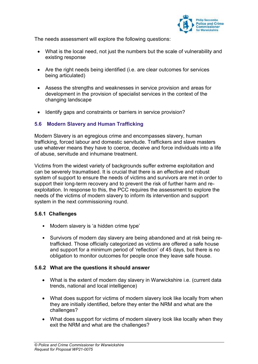

The needs assessment will explore the following questions:

- What is the local need, not just the numbers but the scale of vulnerability and existing response
- Are the right needs being identified (i.e. are clear outcomes for services being articulated)
- Assess the strengths and weaknesses in service provision and areas for development in the provision of specialist services in the context of the changing landscape
- Identify gaps and constraints or barriers in service provision?

# <span id="page-13-0"></span>**5.6 Modern Slavery and Human Trafficking**

Modern Slavery is an egregious crime and encompasses slavery, human trafficking, forced labour and domestic servitude. Traffickers and slave masters use whatever means they have to coerce, deceive and force individuals into a life of abuse, servitude and inhumane treatment.

Victims from the widest variety of backgrounds suffer extreme exploitation and can be severely traumatised. It is crucial that there is an effective and robust system of support to ensure the needs of victims and survivors are met in order to support their long-term recovery and to prevent the risk of further harm and reexploitation. In response to this, the PCC requires the assessment to explore the needs of the victims of modern slavery to inform its intervention and support system in the next commissioning round.

# **5.6.1 Challenges**

- Modern slavery is 'a hidden crime type'
- Survivors of modern day slavery are being abandoned and at risk being retrafficked. Those officially categorized as victims are offered a safe house and support for a minimum period of 'reflection' of 45 days, but there is no obligation to monitor outcomes for people once they leave safe house.

#### **5.6.2 What are the questions it should answer**

- What is the extent of modern day slavery in Warwickshire i.e. (current data trends, national and local intelligence)
- What does support for victims of modern slavery look like locally from when they are initially identified, before they enter the NRM and what are the challenges?
- What does support for victims of modern slavery look like locally when they exit the NRM and what are the challenges?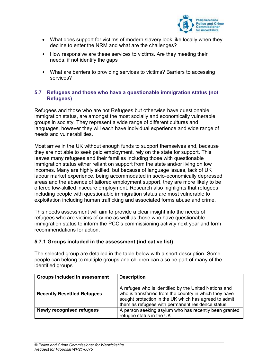

- What does support for victims of modern slavery look like locally when they decline to enter the NRM and what are the challenges?
- How responsive are these services to victims. Are they meeting their needs, if not identify the gaps
- What are barriers to providing services to victims? Barriers to accessing services?

#### <span id="page-14-0"></span>**5.7 Refugees and those who have a questionable immigration status (not Refugees)**

Refugees and those who are not Refugees but otherwise have questionable immigration status, are amongst the most socially and economically vulnerable groups in society. They represent a wide range of different cultures and languages, however they will each have individual experience and wide range of needs and vulnerabilities.

Most arrive in the UK without enough funds to support themselves and, because they are not able to seek paid employment, rely on the state for support. This leaves many refugees and their families including those with questionable immigration status either reliant on support from the state and/or living on low incomes. Many are highly skilled, but because of language issues, lack of UK labour market experience, being accommodated in socio-economically depressed areas and the absence of tailored employment support, they are more likely to be offered low-skilled insecure employment. Research also highlights that refugees including people with questionable immigration status are most vulnerable to exploitation including human trafficking and associated forms abuse and crime.

This needs assessment will aim to provide a clear insight into the needs of refugees who are victims of crime as well as those who have questionable immigration status to inform the PCC's commissioning activity next year and form recommendations for action.

# **5.7.1 Groups included in the assessment (indicative list)**

The selected group are detailed in the table below with a short description. Some people can belong to multiple groups and children can also be part of many of the identified groups

| Groups included in assessment      | <b>Description</b>                                                                                                                                                                                                            |
|------------------------------------|-------------------------------------------------------------------------------------------------------------------------------------------------------------------------------------------------------------------------------|
| <b>Recently Resettled Refugees</b> | A refugee who is identified by the United Nations and<br>who is transferred from the country in which they have<br>sought protection in the UK which has agreed to admit<br>them as refugees with permanent residence status. |
| <b>Newly recognised refugees</b>   | A person seeking asylum who has recently been granted<br>refugee status in the UK.                                                                                                                                            |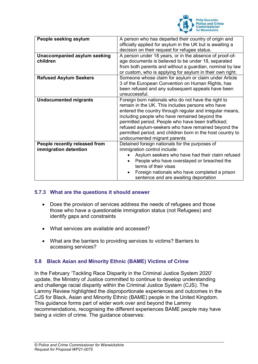

| People seeking asylum                                  | A person who has departed their country of origin and<br>officially applied for asylum in the UK but is awaiting a<br>decision on their request for refugee status.                                                                                                                                                                                                                                                             |  |  |
|--------------------------------------------------------|---------------------------------------------------------------------------------------------------------------------------------------------------------------------------------------------------------------------------------------------------------------------------------------------------------------------------------------------------------------------------------------------------------------------------------|--|--|
| <b>Unaccompanied asylum seeking</b><br>children        | A person under 18 years, or in the absence of proof-of-<br>age documents is believed to be under 18, separated<br>from both parents and without a guardian, nominal by law<br>or custom, who is applying for asylum in their own right.                                                                                                                                                                                         |  |  |
| <b>Refused Asylum Seekers</b>                          | Someone whose claim for asylum or claim under Article<br>3 of the European Convention on Human Rights, has<br>been refused and any subsequent appeals have been<br>unsuccessful.                                                                                                                                                                                                                                                |  |  |
| <b>Undocumented migrants</b>                           | Foreign born nationals who do not have the right to<br>remain in the UK. This includes persons who have<br>entered the country through regular and irregular means,<br>including people who have remained beyond the<br>permitted period. People who have been trafficked;<br>refused asylum-seekers who have remained beyond the<br>permitted period; and children born in the host country to<br>undocumented migrant parents |  |  |
| People recently released from<br>immigration detention | Detained foreign nationals for the purposes of<br>immigration control include:<br>Asylum seekers who have had their claim refused<br>People who have overstayed or breached the<br>terms of their visas<br>Foreign nationals who have completed a prison<br>sentence and are awaiting deportation                                                                                                                               |  |  |

# **5.7.3 What are the questions it should answer**

- Does the provision of services address the needs of refugees and those those who have a questionable immigration status (not Refugees) and identify gaps and constraints
- What services are available and accessed?
- What are the barriers to providing services to victims? Barriers to accessing services?

# <span id="page-15-0"></span>**5.8 Black Asian and Minority Ethnic (BAME) Victims of Crime**

In the February 'Tackling Race Disparity in the Criminal Justice System 2020' update, the Ministry of Justice committed to continue to develop understanding and challenge racial disparity within the Criminal Justice System (CJS). The Lammy Review highlighted the disproportionate experiences and outcomes in the CJS for Black, Asian and Minority Ethnic (BAME) people in the United Kingdom. This guidance forms part of wider work over and beyond the Lammy recommendations, recognising the different experiences BAME people may have being a victim of crime. The guidance observes: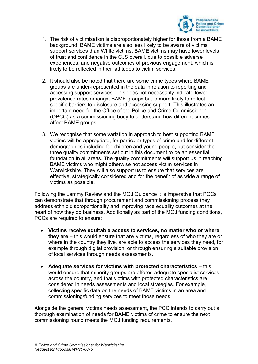

- 1. The risk of victimisation is disproportionately higher for those from a BAME background. BAME victims are also less likely to be aware of victims support services than White victims. BAME victims may have lower levels of trust and confidence in the CJS overall, due to possible adverse experiences, and negative outcomes of previous engagement, which is likely to be reflected in their attitudes to victim services.
- 2. It should also be noted that there are some crime types where BAME groups are under-represented in the data in relation to reporting and accessing support services. This does not necessarily indicate lower prevalence rates amongst BAME groups but is more likely to reflect specific barriers to disclosure and accessing support. This illustrates an important need for the Office of the Police and Crime Commissioner (OPCC) as a commissioning body to understand how different crimes affect BAME groups.
- 3. We recognise that some variation in approach to best supporting BAME victims will be appropriate, for particular types of crime and for different demographics including for children and young people, but consider the three quality commitments set out in this document to be an essential foundation in all areas. The quality commitments will support us in reaching BAME victims who might otherwise not access victim services in Warwickshire. They will also support us to ensure that services are effective, strategically considered and for the benefit of as wide a range of victims as possible.

Following the Lammy Review and the MOJ Guidance it is imperative that PCCs can demonstrate that through procurement and commissioning process they address ethnic disproportionality and improving race equality outcomes at the heart of how they do business. Additionally as part of the MOJ funding conditions, PCCs are required to ensure:

- **Victims receive equitable access to services, no matter who or where they are** – this would ensure that any victims, regardless of who they are or where in the country they live, are able to access the services they need, for example through digital provision, or through ensuring a suitable provision of local services through needs assessments.
- **Adequate services for victims with protected characteristics** this would ensure that minority groups are offered adequate specialist services across the country, and that victims with protected characteristics are considered in needs assessments and local strategies. For example, collecting specific data on the needs of BAME victims in an area and commissioning/funding services to meet those needs

Alongside the general victims needs assessment, the PCC intends to carry out a thorough examination of needs for BAME victims of crime to ensure the next commissioning round meets the MOJ funding requirements.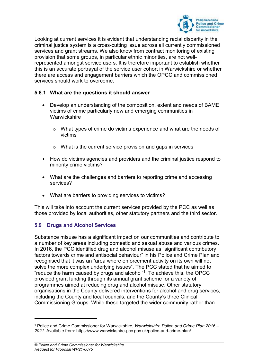

Looking at current services it is evident that understanding racial disparity in the criminal justice system is a cross-cutting issue across all currently commissioned services and grant streams. We also know from contract monitoring of existing provision that some groups, in particular ethnic minorities, are not wellrepresented amongst service users. It is therefore important to establish whether this is an accurate portrayal of the service user cohort in Warwickshire or whether there are access and engagement barriers which the OPCC and commissioned services should work to overcome.

### **5.8.1 What are the questions it should answer**

- Develop an understanding of the composition, extent and needs of BAME victims of crime particularly new and emerging communities in **Warwickshire** 
	- o What types of crime do victims experience and what are the needs of victims
	- o What is the current service provision and gaps in services
- How do victims agencies and providers and the criminal justice respond to minority crime victims?
- What are the challenges and barriers to reporting crime and accessing services?
- What are barriers to providing services to victims?

This will take into account the current services provided by the PCC as well as those provided by local authorities, other statutory partners and the third sector.

# <span id="page-17-0"></span>**5.9 Drugs and Alcohol Services**

Substance misuse has a significant impact on our communities and contribute to a number of key areas including domestic and sexual abuse and various crimes. In 2016, the PCC identified drug and alcohol misuse as "significant contributory factors towards crime and antisocial behaviour" in his Police and Crime Plan and recognised that it was an "area where enforcement activity on its own will not solve the more complex underlying issues". The PCC stated that he aimed to "reduce the harm caused by drugs and alcohol"<sup>1</sup>. To achieve this, the OPCC provided grant funding through its annual grant scheme for a variety of programmes aimed at reducing drug and alcohol misuse. Other statutory organisations in the County delivered interventions for alcohol and drug services, including the County and local councils, and the County's three Clinical Commissioning Groups. While these targeted the wider community rather than

1

<sup>1</sup> Police and Crime Commissioner for Warwickshire, *Warwickshire Police and Crime Plan 2016 – 2021*. Available from: https://www.warwickshire-pcc.gov.uk/police-and-crime-plan/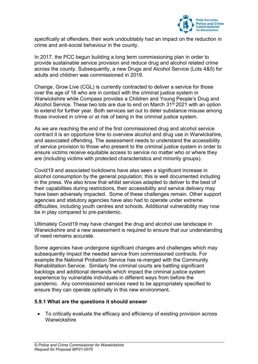

specifically at offenders, their work undoubtably had an impact on the reduction in crime and anti-social behaviour in the county.

In 2017, the PCC begun building a long term commissioning plan in order to provide sustainable service provision and reduce drug and alcohol related crime across the county. Subsequently, a new Drugs and Alcohol Service (Lots 4&5) for adults and children was commissioned in 2019.

Change, Grow Live (CGL) is currently contracted to deliver a service for those over the age of 18 who are in contact with the criminal justice system in Warwickshire while Compass provides a Children and Young People's Drug and Alcohol Service. These two lots are due to end on March 31<sup>st</sup> 2021 with an option to extend for further year. Both services set out to deter substance misuse among those involved in crime or at risk of being in the criminal justice system.

As we are reaching the end of the first commissioned drug and alcohol service contract it is an opportune time to overview alcohol and drug use in Warwickshire, and associated offending. The assessment needs to understand the accessibility of service provision to those who present to the criminal justice system in order to ensure victims receive equitable access to service no matter who or where they are (including victims with protected characteristics and minority groups).

Covid19 and associated lockdowns have also seen a significant increase in alcohol consumption by the general population; this is well documented including in the press. We also know that whilst services adapted to deliver to the best of their capabilities during restrictions, their accessibility and service delivery may have been adversely impacted. Some of these challenges remain. Other support agencies and statutory agencies have also had to operate under extreme difficulties, including youth centres and schools. Additional vulnerability may now be in play compared to pre-pandemic.

Ultimately Covid19 may have changed the drug and alcohol use landscape in Warwickshire and a new assessment is required to ensure that our understanding of need remains accurate.

Some agencies have undergone significant changes and challenges which may subsequently impact the needed service from commissioned contracts. For example the National Probation Service has re-merged with the Community Rehabilitation Service. Similarly the criminal courts are battling significant backlogs and additional demands which impact the criminal justice system experience by vulnerable individuals in different ways from before the pandemic. Any commissioned services need to be appropriately specified to ensure they can operate optimally in this new environment.

#### **5.9.1 What are the questions it should answer**

 To critically evaluate the efficacy and efficiency of existing provision across **Warwickshire**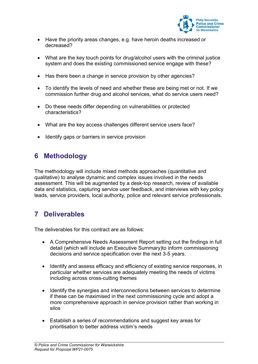

- Have the priority areas changes, e.g. have heroin deaths increased or decreased?
- What are the key touch points for drug/alcohol users with the criminal justice system and does the existing commissioned service engage with these?
- Has there been a change in service provision by other agencies?
- To identify the levels of need and whether these are being met or not. If we commission further drug and alcohol services, what do service users need?
- Do these needs differ depending on vulnerabilities or protected characteristics?
- What are the key access challenges different service users face?
- Identify gaps or barriers in service provision

# <span id="page-19-0"></span>**6 Methodology**

The methodology will include mixed methods approaches (quantitative and qualitative) to analyse dynamic and complex issues involved in the needs assessment. This will be augmented by a desk-top research, review of available data and statistics, capturing service user feedback, and interviews with key policy leads, service providers, local authority, police and relevant service professionals.

# <span id="page-19-1"></span>**7 Deliverables**

The deliverables for this contract are as follows:

- A Comprehensive Needs Assessment Report setting out the findings in full detail (which will include an Executive Summary)to inform commissioning decisions and service specification over the next 3-5 years.
- Identify and assess efficacy and efficiency of existing service responses, in particular whether services are adequately meeting the needs of victims including across cross-cutting themes
- Identify the synergies and interconnections between services to determine if these can be maximised in the next commissioning cycle and adopt a more comprehensive approach in service provision rather than working in silos
- Establish a series of recommendations and suggest key areas for prioritisation to better address victim's needs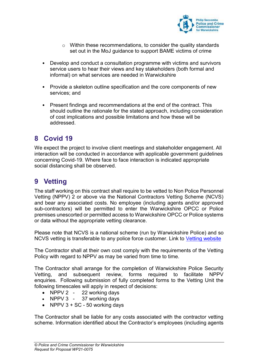

- o Within these recommendations, to consider the quality standards set out in the MoJ guidance to support BAME victims of crime
- Develop and conduct a consultation programme with victims and survivors service users to hear their views and key stakeholders (both formal and informal) on what services are needed in Warwickshire
- Provide a skeleton outline specification and the core components of new services; and
- Present findings and recommendations at the end of the contract. This should outline the rationale for the stated approach, including consideration of cost implications and possible limitations and how these will be addressed.

# <span id="page-20-0"></span>**8 Covid 19**

We expect the project to involve client meetings and stakeholder engagement. All interaction will be conducted in accordance with applicable government guidelines concerning Covid-19. Where face to face interaction is indicated appropriate social distancing shall be observed.

# <span id="page-20-1"></span>**9 Vetting**

The staff working on this contract shall require to be vetted to Non Police Personnel Vetting (NPPV) 2 or above via the National Contractors Vetting Scheme (NCVS) and bear any associated costs. No employee (including agents and/or approved sub-contractors) will be permitted to enter the Warwickshire OPCC or Police premises unescorted or permitted access to Warwickshire OPCC or Police systems or data without the appropriate vetting clearance.

Please note that NCVS is a national scheme (run by Warwickshire Police) and so NCVS vetting is transferable to any police force customer. Link to [Vetting website](https://www.warwickshire.police.uk/police-forces/warwickshire-police/areas/warwickshire-police/about-us/about-us/national-contractors-vetting-scheme/vetting-process/)

The Contractor shall at their own cost comply with the requirements of the Vetting Policy with regard to NPPV as may be varied from time to time.

The Contractor shall arrange for the completion of Warwickshire Police Security Vetting, and subsequent review, forms required to facilitate NPPV enquiries. Following submission of fully completed forms to the Vetting Unit the following timescales will apply in respect of decisions:

- NPPV 2 22 working days
- NPPV 3 37 working days
- NPPV  $3 + SC 50$  working days

The Contractor shall be liable for any costs associated with the contractor vetting scheme. Information identified about the Contractor's employees (including agents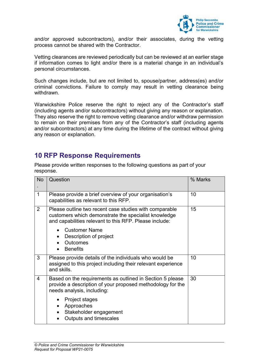

and/or approved subcontractors), and/or their associates, during the vetting process cannot be shared with the Contractor.

Vetting clearances are reviewed periodically but can be reviewed at an earlier stage if information comes to light and/or there is a material change in an individual's personal circumstances.

Such changes include, but are not limited to, spouse/partner, address(es) and/or criminal convictions. Failure to comply may result in vetting clearance being withdrawn.

Warwickshire Police reserve the right to reject any of the Contractor's staff (including agents and/or subcontractors) without giving any reason or explanation. They also reserve the right to remove vetting clearance and/or withdraw permission to remain on their premises from any of the Contractor's staff (including agents and/or subcontractors) at any time during the lifetime of the contract without giving any reason or explanation.

# <span id="page-21-0"></span>**10 RFP Response Requirements**

| <b>No</b>      | Question                                                                                                                                                                 | % Marks |
|----------------|--------------------------------------------------------------------------------------------------------------------------------------------------------------------------|---------|
| $\mathbf 1$    | Please provide a brief overview of your organisation's<br>capabilities as relevant to this RFP.                                                                          | 10      |
| $\overline{2}$ | Please outline two recent case studies with comparable<br>customers which demonstrate the specialist knowledge<br>and capabilities relevant to this RFP. Please include: | 15      |
|                | <b>Customer Name</b><br>Description of project<br>Outcomes<br><b>Benefits</b>                                                                                            |         |
| 3              | Please provide details of the individuals who would be<br>assigned to this project including their relevant experience<br>and skills.                                    | 10      |
| $\overline{4}$ | Based on the requirements as outlined in Section 5 please<br>provide a description of your proposed methodology for the<br>needs analysis, including:                    | 30      |
|                | Project stages<br>$\bullet$<br>Approaches<br>$\bullet$<br>Stakeholder engagement<br>Outputs and timescales                                                               |         |

Please provide written responses to the following questions as part of your response.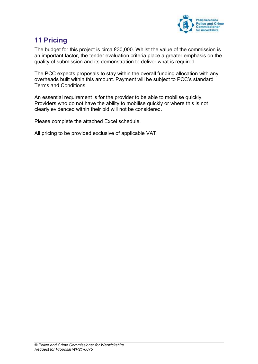

# <span id="page-22-0"></span>**11 Pricing**

The budget for this project is circa £30,000. Whilst the value of the commission is an important factor, the tender evaluation criteria place a greater emphasis on the quality of submission and its demonstration to deliver what is required.

The PCC expects proposals to stay within the overall funding allocation with any overheads built within this amount. Payment will be subject to PCC's standard Terms and Conditions.

An essential requirement is for the provider to be able to mobilise quickly. Providers who do not have the ability to mobilise quickly or where this is not clearly evidenced within their bid will not be considered.

Please complete the attached Excel schedule.

All pricing to be provided exclusive of applicable VAT.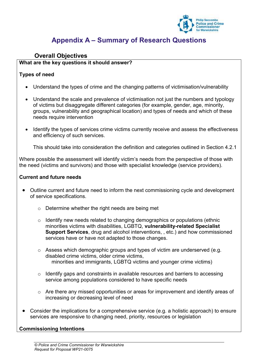

# **Appendix A – Summary of Research Questions**

# <span id="page-23-0"></span>**Overall Objectives**

#### **What are the key questions it should answer?**

# **Types of need**

- Understand the types of crime and the changing patterns of victimisation/vulnerability
- Understand the scale and prevalence of victimisation not just the numbers and typology of victims but disaggregate different categories (for example, gender, age, minority, groups, vulnerability and geographical location) and types of needs and which of these needs require intervention
- Identify the types of services crime victims currently receive and assess the effectiveness and efficiency of such services.

This should take into consideration the definition and categories outlined in Section 4.2.1

Where possible the assessment will identify victim's needs from the perspective of those with the need (victims and survivors) and those with specialist knowledge (service providers).

#### **Current and future needs**

- Outline current and future need to inform the next commissioning cycle and development of service specifications.
	- o Determine whether the right needs are being met
	- $\circ$  Identify new needs related to changing demographics or populations (ethnic minorities victims with disabilities, LGBTQ, **vulnerability-related Specialist Support Services**, drug and alcohol interventions, , etc.) and how commissioned services have or have not adapted to those changes.
	- $\circ$  Assess which demographic groups and types of victim are underserved (e.g. disabled crime victims, older crime victims, minorities and immigrants, LGBTQ victims and younger crime victims)
	- o Identify gaps and constraints in available resources and barriers to accessing service among populations considered to have specific needs
	- o Are there any missed opportunities or areas for improvement and identify areas of increasing or decreasing level of need
- Consider the implications for a comprehensive service (e.g. a holistic approach) to ensure services are responsive to changing need, priority, resources or legislation

# **Commissioning Intentions**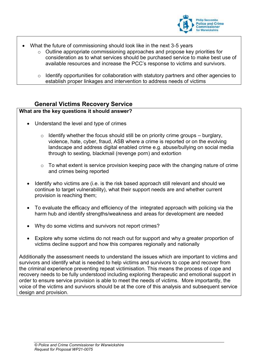

- What the future of commissioning should look like in the next 3-5 years
	- o Outline appropriate commissioning approaches and propose key priorities for consideration as to what services should be purchased service to make best use of available resources and increase the PCC's response to victims and survivors.
	- $\circ$  Identify opportunities for collaboration with statutory partners and other agencies to establish proper linkages and intervention to address needs of victims

# **General Victims Recovery Service**

# **What are the key questions it should answer?**

- Understand the level and type of crimes
	- $\circ$  Identify whether the focus should still be on priority crime groups burglary, violence, hate, cyber, fraud, ASB where a crime is reported or on the evolving landscape and address digital enabled crime e.g. abuse/bullying on social media through to sexting, blackmail (revenge porn) and extortion
	- $\circ$  To what extent is service provision keeping pace with the changing nature of crime and crimes being reported
- Identify who victims are (i.e. is the risk based approach still relevant and should we continue to target vulnerability), what their support needs are and whether current provision is reaching them;
- To evaluate the efficacy and efficiency of the integrated approach with policing via the harm hub and identify strengths/weakness and areas for development are needed
- Why do some victims and survivors not report crimes?
- Explore why some victims do not reach out for support and why a greater proportion of victims decline support and how this compares regionally and nationally

Additionally the assessment needs to understand the issues which are important to victims and survivors and identify what is needed to help victims and survivors to cope and recover from the criminal experience preventing repeat victimisation. This means the process of cope and recovery needs to be fully understood including exploring therapeutic and emotional support in order to ensure service provision is able to meet the needs of victims. More importantly, the voice of the victims and survivors should be at the core of this analysis and subsequent service design and provision.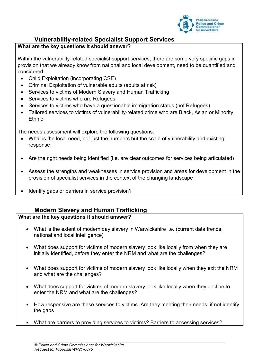

# **Vulnerability-related Specialist Support Services**

# **What are the key questions it should answer?**

Within the vulnerability-related specialist support services, there are some very specific gaps in provision that we already know from national and local development, need to be quantified and considered:

- Child Exploitation (incorporating CSE)
- Criminal Exploitation of vulnerable adults (adults at risk)
- Services to victims of Modern Slavery and Human Trafficking
- Services to victims who are Refugees
- Services to victims who have a questionable immigration status (not Refugees)
- Tailored services to victims of vulnerability-related crime who are Black, Asian or Minority **Ethnic**

The needs assessment will explore the following questions:

- What is the local need, not just the numbers but the scale of vulnerability and existing response
- Are the right needs being identified (i.e. are clear outcomes for services being articulated)
- Assess the strengths and weaknesses in service provision and areas for development in the provision of specialist services in the context of the changing landscape
- Identify gaps or barriers in service provision?

# **Modern Slavery and Human Trafficking**

# **What are the key questions it should answer?**

- What is the extent of modern day slavery in Warwickshire i.e. (current data trends, national and local intelligence)
- What does support for victims of modern slavery look like locally from when they are initially identified, before they enter the NRM and what are the challenges?
- What does support for victims of modern slavery look like locally when they exit the NRM and what are the challenges?
- What does support for victims of modern slavery look like locally when they decline to enter the NRM and what are the challenges?
- How responsive are these services to victims. Are they meeting their needs, if not identify the gaps
- What are barriers to providing services to victims? Barriers to accessing services?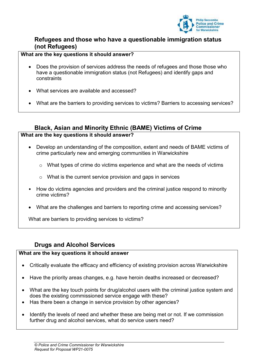

# **Refugees and those who have a questionable immigration status (not Refugees)**

#### **What are the key questions it should answer?**

- Does the provision of services address the needs of refugees and those those who have a questionable immigration status (not Refugees) and identify gaps and constraints
- What services are available and accessed?
- What are the barriers to providing services to victims? Barriers to accessing services?

# **Black, Asian and Minority Ethnic (BAME) Victims of Crime**

#### **What are the key questions it should answer?**

- Develop an understanding of the composition, extent and needs of BAME victims of crime particularly new and emerging communities in Warwickshire
	- $\circ$  What types of crime do victims experience and what are the needs of victims
	- o What is the current service provision and gaps in services
- How do victims agencies and providers and the criminal justice respond to minority crime victims?
- What are the challenges and barriers to reporting crime and accessing services?

What are barriers to providing services to victims?

# **Drugs and Alcohol Services**

#### **What are the key questions it should answer**

- Critically evaluate the efficacy and efficiency of existing provision across Warwickshire
- Have the priority areas changes, e.g. have heroin deaths increased or decreased?
- What are the key touch points for drug/alcohol users with the criminal justice system and does the existing commissioned service engage with these?
- Has there been a change in service provision by other agencies?
- Identify the levels of need and whether these are being met or not. If we commission further drug and alcohol services, what do service users need?